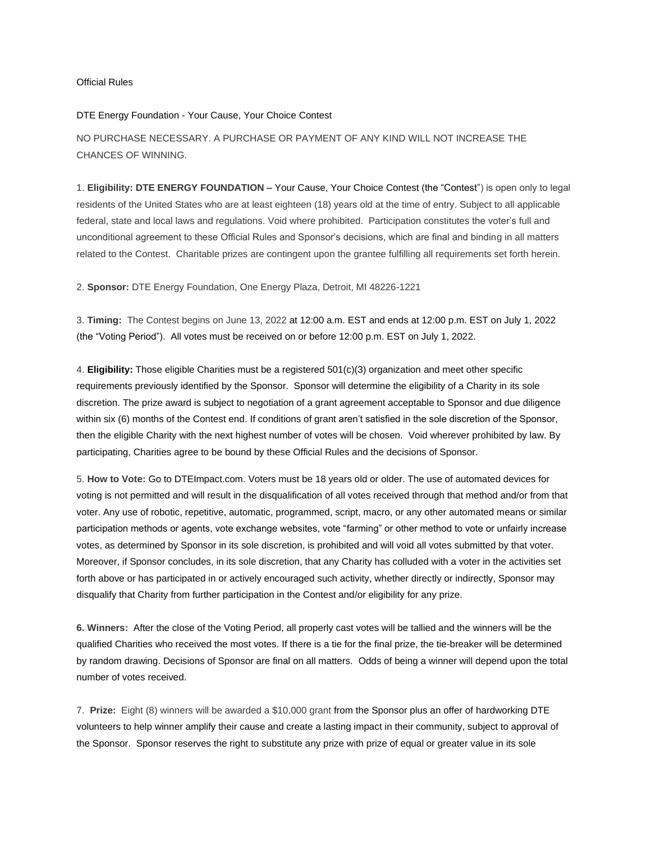## Official Rules

## DTE Energy Foundation - Your Cause, Your Choice Contest

NO PURCHASE NECESSARY. A PURCHASE OR PAYMENT OF ANY KIND WILL NOT INCREASE THE CHANCES OF WINNING.

1. **Eligibility: DTE ENERGY FOUNDATION –** Your Cause, Your Choice Contest (the "Contest") is open only to legal residents of the United States who are at least eighteen (18) years old at the time of entry. Subject to all applicable federal, state and local laws and regulations. Void where prohibited. Participation constitutes the voter's full and unconditional agreement to these Official Rules and Sponsor's decisions, which are final and binding in all matters related to the Contest. Charitable prizes are contingent upon the grantee fulfilling all requirements set forth herein.

## 2. **Sponsor:** DTE Energy Foundation, One Energy Plaza, Detroit, MI 48226-1221

3. **Timing:** The Contest begins on June 13, 2022 at 12:00 a.m. EST and ends at 12:00 p.m. EST on July 1, 2022 (the "Voting Period"). All votes must be received on or before 12:00 p.m. EST on July 1, 2022.

4. **Eligibility:** Those eligible Charities must be a registered 501(c)(3) organization and meet other specific requirements previously identified by the Sponsor. Sponsor will determine the eligibility of a Charity in its sole discretion. The prize award is subject to negotiation of a grant agreement acceptable to Sponsor and due diligence within six (6) months of the Contest end. If conditions of grant aren't satisfied in the sole discretion of the Sponsor, then the eligible Charity with the next highest number of votes will be chosen. Void wherever prohibited by law. By participating, Charities agree to be bound by these Official Rules and the decisions of Sponsor.

5. **How to Vote:** Go to DTEImpact.com. Voters must be 18 years old or older. The use of automated devices for voting is not permitted and will result in the disqualification of all votes received through that method and/or from that voter. Any use of robotic, repetitive, automatic, programmed, script, macro, or any other automated means or similar participation methods or agents, vote exchange websites, vote "farming" or other method to vote or unfairly increase votes, as determined by Sponsor in its sole discretion, is prohibited and will void all votes submitted by that voter. Moreover, if Sponsor concludes, in its sole discretion, that any Charity has colluded with a voter in the activities set forth above or has participated in or actively encouraged such activity, whether directly or indirectly, Sponsor may disqualify that Charity from further participation in the Contest and/or eligibility for any prize.

**6. Winners:** After the close of the Voting Period, all properly cast votes will be tallied and the winners will be the qualified Charities who received the most votes. If there is a tie for the final prize, the tie-breaker will be determined by random drawing. Decisions of Sponsor are final on all matters. Odds of being a winner will depend upon the total number of votes received.

7. **Prize:** Eight (8) winners will be awarded a \$10,000 grant from the Sponsor plus an offer of hardworking DTE volunteers to help winner amplify their cause and create a lasting impact in their community, subject to approval of the Sponsor. Sponsor reserves the right to substitute any prize with prize of equal or greater value in its sole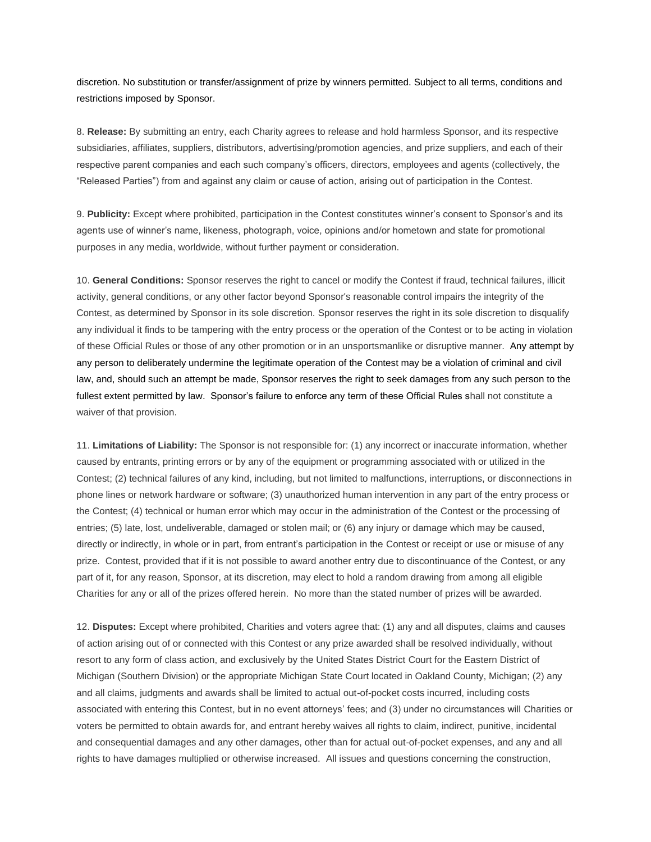discretion. No substitution or transfer/assignment of prize by winners permitted. Subject to all terms, conditions and restrictions imposed by Sponsor.

8. **Release:** By submitting an entry, each Charity agrees to release and hold harmless Sponsor, and its respective subsidiaries, affiliates, suppliers, distributors, advertising/promotion agencies, and prize suppliers, and each of their respective parent companies and each such company's officers, directors, employees and agents (collectively, the "Released Parties") from and against any claim or cause of action, arising out of participation in the Contest.

9. **Publicity:** Except where prohibited, participation in the Contest constitutes winner's consent to Sponsor's and its agents use of winner's name, likeness, photograph, voice, opinions and/or hometown and state for promotional purposes in any media, worldwide, without further payment or consideration.

10. **General Conditions:** Sponsor reserves the right to cancel or modify the Contest if fraud, technical failures, illicit activity, general conditions, or any other factor beyond Sponsor's reasonable control impairs the integrity of the Contest, as determined by Sponsor in its sole discretion. Sponsor reserves the right in its sole discretion to disqualify any individual it finds to be tampering with the entry process or the operation of the Contest or to be acting in violation of these Official Rules or those of any other promotion or in an unsportsmanlike or disruptive manner. Any attempt by any person to deliberately undermine the legitimate operation of the Contest may be a violation of criminal and civil law, and, should such an attempt be made, Sponsor reserves the right to seek damages from any such person to the fullest extent permitted by law. Sponsor's failure to enforce any term of these Official Rules shall not constitute a waiver of that provision.

11. **Limitations of Liability:** The Sponsor is not responsible for: (1) any incorrect or inaccurate information, whether caused by entrants, printing errors or by any of the equipment or programming associated with or utilized in the Contest; (2) technical failures of any kind, including, but not limited to malfunctions, interruptions, or disconnections in phone lines or network hardware or software; (3) unauthorized human intervention in any part of the entry process or the Contest; (4) technical or human error which may occur in the administration of the Contest or the processing of entries; (5) late, lost, undeliverable, damaged or stolen mail; or (6) any injury or damage which may be caused, directly or indirectly, in whole or in part, from entrant's participation in the Contest or receipt or use or misuse of any prize. Contest, provided that if it is not possible to award another entry due to discontinuance of the Contest, or any part of it, for any reason, Sponsor, at its discretion, may elect to hold a random drawing from among all eligible Charities for any or all of the prizes offered herein. No more than the stated number of prizes will be awarded.

12. **Disputes:** Except where prohibited, Charities and voters agree that: (1) any and all disputes, claims and causes of action arising out of or connected with this Contest or any prize awarded shall be resolved individually, without resort to any form of class action, and exclusively by the United States District Court for the Eastern District of Michigan (Southern Division) or the appropriate Michigan State Court located in Oakland County, Michigan; (2) any and all claims, judgments and awards shall be limited to actual out-of-pocket costs incurred, including costs associated with entering this Contest, but in no event attorneys' fees; and (3) under no circumstances will Charities or voters be permitted to obtain awards for, and entrant hereby waives all rights to claim, indirect, punitive, incidental and consequential damages and any other damages, other than for actual out-of-pocket expenses, and any and all rights to have damages multiplied or otherwise increased. All issues and questions concerning the construction,